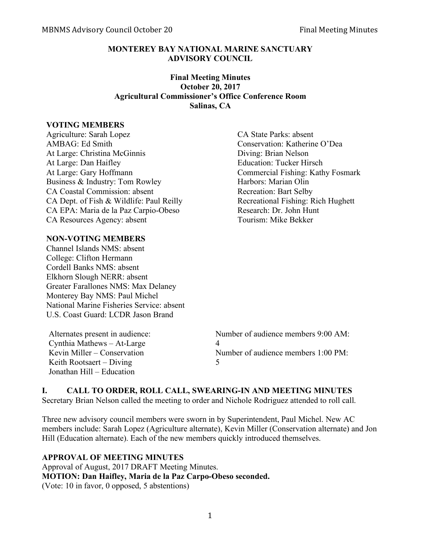#### **MONTEREY BAY NATIONAL MARINE SANCTUARY ADVISORY COUNCIL**

#### **Final Meeting Minutes October 20, 2017 Agricultural Commissioner's Office Conference Room Salinas, CA**

#### **VOTING MEMBERS**

Agriculture: Sarah Lopez CA State Parks: absent AMBAG: Ed Smith Conservation: Katherine O'Dea At Large: Christina McGinnis Diving: Brian Nelson At Large: Dan Haifley Education: Tucker Hirsch At Large: Gary Hoffmann Commercial Fishing: Kathy Fosmark Business & Industry: Tom Rowley Harbors: Marian Olin CA Coastal Commission: absent Recreation: Bart Selby CA Dept. of Fish & Wildlife: Paul Reilly Recreational Fishing: Rich Hughett CA EPA: Maria de la Paz Carpio-Obeso Research: Dr. John Hunt CA Resources Agency: absent Tourism: Mike Bekker

#### **NON-VOTING MEMBERS**

Channel Islands NMS: absent College: Clifton Hermann Cordell Banks NMS: absent Elkhorn Slough NERR: absent Greater Farallones NMS: Max Delaney Monterey Bay NMS: Paul Michel National Marine Fisheries Service: absent U.S. Coast Guard: LCDR Jason Brand

 $Cyntha$  Mathews – At-Large  $4$ Keith Rootsaert – Diving  $5$ Jonathan Hill – Education

Alternates present in audience: Number of audience members 9:00 AM: Kevin Miller – Conservation Number of audience members 1:00 PM:

## **I. CALL TO ORDER, ROLL CALL, SWEARING-IN AND MEETING MINUTES**

Secretary Brian Nelson called the meeting to order and Nichole Rodriguez attended to roll call.

Three new advisory council members were sworn in by Superintendent, Paul Michel. New AC members include: Sarah Lopez (Agriculture alternate), Kevin Miller (Conservation alternate) and Jon Hill (Education alternate). Each of the new members quickly introduced themselves.

# **APPROVAL OF MEETING MINUTES**

Approval of August, 2017 DRAFT Meeting Minutes. **MOTION: Dan Haifley, Maria de la Paz Carpo-Obeso seconded.** (Vote: 10 in favor, 0 opposed, 5 abstentions)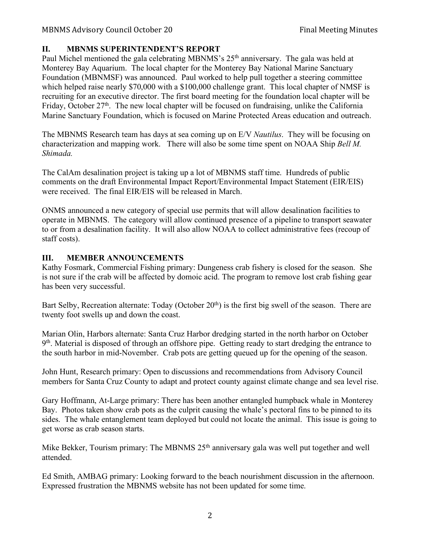# **II. MBNMS SUPERINTENDENT'S REPORT**

Paul Michel mentioned the gala celebrating MBNMS's 25<sup>th</sup> anniversary. The gala was held at Monterey Bay Aquarium. The local chapter for the Monterey Bay National Marine Sanctuary Foundation (MBNMSF) was announced. Paul worked to help pull together a steering committee which helped raise nearly \$70,000 with a \$100,000 challenge grant. This local chapter of NMSF is recruiting for an executive director. The first board meeting for the foundation local chapter will be Friday, October  $27<sup>th</sup>$ . The new local chapter will be focused on fundraising, unlike the California Marine Sanctuary Foundation, which is focused on Marine Protected Areas education and outreach.

The MBNMS Research team has days at sea coming up on E/V *Nautilus*. They will be focusing on characterization and mapping work. There will also be some time spent on NOAA Ship *Bell M. Shimada.* 

The CalAm desalination project is taking up a lot of MBNMS staff time. Hundreds of public comments on the draft Environmental Impact Report/Environmental Impact Statement (EIR/EIS) were received. The final EIR/EIS will be released in March.

ONMS announced a new category of special use permits that will allow desalination facilities to operate in MBNMS. The category will allow continued presence of a pipeline to transport seawater to or from a desalination facility. It will also allow NOAA to collect administrative fees (recoup of staff costs).

# **III. MEMBER ANNOUNCEMENTS**

Kathy Fosmark, Commercial Fishing primary: Dungeness crab fishery is closed for the season. She is not sure if the crab will be affected by domoic acid. The program to remove lost crab fishing gear has been very successful.

Bart Selby, Recreation alternate: Today (October 20<sup>th</sup>) is the first big swell of the season. There are twenty foot swells up and down the coast.

Marian Olin, Harbors alternate: Santa Cruz Harbor dredging started in the north harbor on October  $9<sup>th</sup>$ . Material is disposed of through an offshore pipe. Getting ready to start dredging the entrance to the south harbor in mid-November. Crab pots are getting queued up for the opening of the season.

John Hunt, Research primary: Open to discussions and recommendations from Advisory Council members for Santa Cruz County to adapt and protect county against climate change and sea level rise.

Gary Hoffmann, At-Large primary: There has been another entangled humpback whale in Monterey Bay. Photos taken show crab pots as the culprit causing the whale's pectoral fins to be pinned to its sides. The whale entanglement team deployed but could not locate the animal. This issue is going to get worse as crab season starts.

Mike Bekker, Tourism primary: The MBNMS 25<sup>th</sup> anniversary gala was well put together and well attended.

Ed Smith, AMBAG primary: Looking forward to the beach nourishment discussion in the afternoon. Expressed frustration the MBNMS website has not been updated for some time.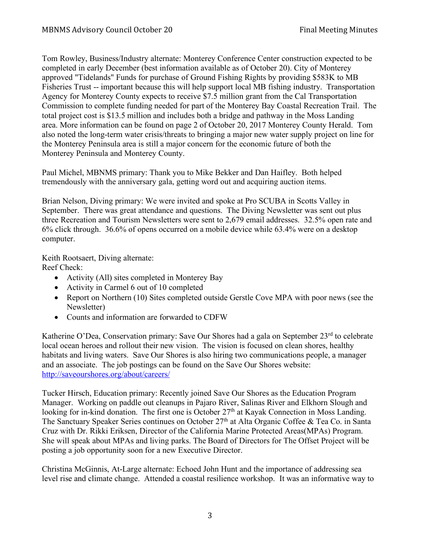Tom Rowley, Business/Industry alternate: Monterey Conference Center construction expected to be completed in early December (best information available as of October 20). City of Monterey approved "Tidelands" Funds for purchase of Ground Fishing Rights by providing \$583K to MB Fisheries Trust -- important because this will help support local MB fishing industry. Transportation Agency for Monterey County expects to receive \$7.5 million grant from the Cal Transportation Commission to complete funding needed for part of the Monterey Bay Coastal Recreation Trail. The total project cost is \$13.5 million and includes both a bridge and pathway in the Moss Landing area. More information can be found on page 2 of October 20, 2017 Monterey County Herald. Tom also noted the long-term water crisis/threats to bringing a major new water supply project on line for the Monterey Peninsula area is still a major concern for the economic future of both the Monterey Peninsula and Monterey County.

Paul Michel, MBNMS primary: Thank you to Mike Bekker and Dan Haifley. Both helped tremendously with the anniversary gala, getting word out and acquiring auction items.

Brian Nelson, Diving primary: We were invited and spoke at Pro SCUBA in Scotts Valley in September. There was great attendance and questions. The Diving Newsletter was sent out plus three Recreation and Tourism Newsletters were sent to 2,679 email addresses. 32.5% open rate and 6% click through. 36.6% of opens occurred on a mobile device while 63.4% were on a desktop computer.

Keith Rootsaert, Diving alternate:

Reef Check:

- Activity (All) sites completed in Monterey Bay
- Activity in Carmel 6 out of 10 completed
- Report on Northern (10) Sites completed outside Gerstle Cove MPA with poor news (see the Newsletter)
- Counts and information are forwarded to CDFW

Katherine O'Dea, Conservation primary: Save Our Shores had a gala on September 23<sup>rd</sup> to celebrate local ocean heroes and rollout their new vision. The vision is focused on clean shores, healthy habitats and living waters. Save Our Shores is also hiring two communications people, a manager and an associate. The job postings can be found on the Save Our Shores website: http://saveourshores.org/about/careers/

Tucker Hirsch, Education primary: Recently joined Save Our Shores as the Education Program Manager. Working on paddle out cleanups in Pajaro River, Salinas River and Elkhorn Slough and looking for in-kind donation. The first one is October 27<sup>th</sup> at Kayak Connection in Moss Landing. The Sanctuary Speaker Series continues on October 27<sup>th</sup> at Alta Organic Coffee & Tea Co. in Santa Cruz with Dr. Rikki Eriksen, Director of the California Marine Protected Areas(MPAs) Program. She will speak about MPAs and living parks. The Board of Directors for The Offset Project will be posting a job opportunity soon for a new Executive Director.

Christina McGinnis, At-Large alternate: Echoed John Hunt and the importance of addressing sea level rise and climate change. Attended a coastal resilience workshop. It was an informative way to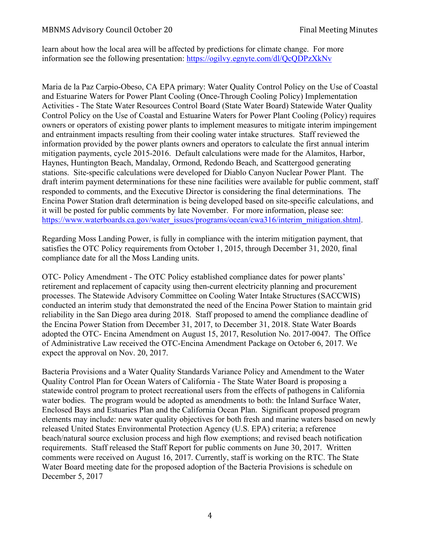learn about how the local area will be affected by predictions for climate change. For more information see the following presentation: https://ogilvy.egnyte.com/dl/QcQDPzXkNv

Maria de la Paz Carpio-Obeso, CA EPA primary: Water Quality Control Policy on the Use of Coastal and Estuarine Waters for Power Plant Cooling (Once-Through Cooling Policy) Implementation Activities - The State Water Resources Control Board (State Water Board) Statewide Water Quality Control Policy on the Use of Coastal and Estuarine Waters for Power Plant Cooling (Policy) requires owners or operators of existing power plants to implement measures to mitigate interim impingement and entrainment impacts resulting from their cooling water intake structures. Staff reviewed the information provided by the power plants owners and operators to calculate the first annual interim mitigation payments, cycle 2015-2016. Default calculations were made for the Alamitos, Harbor, Haynes, Huntington Beach, Mandalay, Ormond, Redondo Beach, and Scattergood generating stations. Site-specific calculations were developed for Diablo Canyon Nuclear Power Plant. The draft interim payment determinations for these nine facilities were available for public comment, staff responded to comments, and the Executive Director is considering the final determinations. The Encina Power Station draft determination is being developed based on site-specific calculations, and it will be posted for public comments by late November. For more information, please see: https://www.waterboards.ca.gov/water\_issues/programs/ocean/cwa316/interim\_mitigation.shtml.

Regarding Moss Landing Power, is fully in compliance with the interim mitigation payment, that satisfies the OTC Policy requirements from October 1, 2015, through December 31, 2020, final compliance date for all the Moss Landing units.

OTC- Policy Amendment - The OTC Policy established compliance dates for power plants' retirement and replacement of capacity using then-current electricity planning and procurement processes. The Statewide Advisory Committee on Cooling Water Intake Structures (SACCWIS) conducted an interim study that demonstrated the need of the Encina Power Station to maintain grid reliability in the San Diego area during 2018. Staff proposed to amend the compliance deadline of the Encina Power Station from December 31, 2017, to December 31, 2018. State Water Boards adopted the OTC- Encina Amendment on August 15, 2017, Resolution No. 2017-0047. The Office of Administrative Law received the OTC-Encina Amendment Package on October 6, 2017. We expect the approval on Nov. 20, 2017.

Bacteria Provisions and a Water Quality Standards Variance Policy and Amendment to the Water Quality Control Plan for Ocean Waters of California - The State Water Board is proposing a statewide control program to protect recreational users from the effects of pathogens in California water bodies. The program would be adopted as amendments to both: the Inland Surface Water, Enclosed Bays and Estuaries Plan and the California Ocean Plan. Significant proposed program elements may include: new water quality objectives for both fresh and marine waters based on newly released United States Environmental Protection Agency (U.S. EPA) criteria; a reference beach/natural source exclusion process and high flow exemptions; and revised beach notification requirements. Staff released the Staff Report for public comments on June 30, 2017. Written comments were received on August 16, 2017. Currently, staff is working on the RTC. The State Water Board meeting date for the proposed adoption of the Bacteria Provisions is schedule on December 5, 2017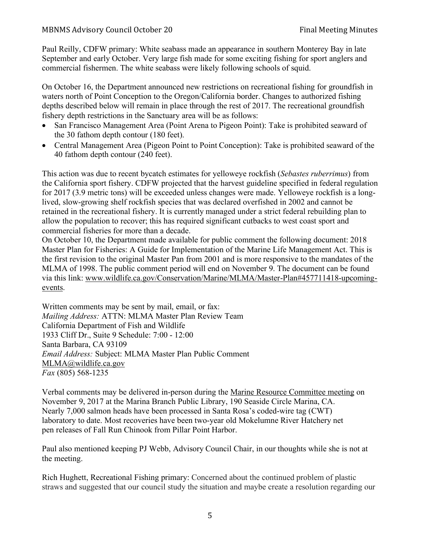Paul Reilly, CDFW primary: White seabass made an appearance in southern Monterey Bay in late September and early October. Very large fish made for some exciting fishing for sport anglers and commercial fishermen. The white seabass were likely following schools of squid.

On October 16, the Department announced new restrictions on recreational fishing for groundfish in waters north of Point Conception to the Oregon/California border. Changes to authorized fishing depths described below will remain in place through the rest of 2017. The recreational groundfish fishery depth restrictions in the Sanctuary area will be as follows:

- San Francisco Management Area (Point Arena to Pigeon Point): Take is prohibited seaward of the 30 fathom depth contour (180 feet).
- Central Management Area (Pigeon Point to Point Conception): Take is prohibited seaward of the 40 fathom depth contour (240 feet).

This action was due to recent bycatch estimates for yelloweye rockfish (*Sebastes ruberrimus*) from the California sport fishery. CDFW projected that the harvest guideline specified in federal regulation for 2017 (3.9 metric tons) will be exceeded unless changes were made. Yelloweye rockfish is a longlived, slow-growing shelf rockfish species that was declared overfished in 2002 and cannot be retained in the recreational fishery. It is currently managed under a strict federal rebuilding plan to allow the population to recover; this has required significant cutbacks to west coast sport and commercial fisheries for more than a decade.

On October 10, the Department made available for public comment the following document: 2018 Master Plan for Fisheries: A Guide for Implementation of the Marine Life Management Act. This is the first revision to the original Master Pan from 2001 and is more responsive to the mandates of the MLMA of 1998. The public comment period will end on November 9. The document can be found via this link: www.wildlife.ca.gov/Conservation/Marine/MLMA/Master-Plan#457711418-upcomingevents.

Written comments may be sent by mail, email, or fax: *Mailing Address:* ATTN: MLMA Master Plan Review Team California Department of Fish and Wildlife 1933 Cliff Dr., Suite 9 Schedule: 7:00 - 12:00 Santa Barbara, CA 93109 *Email Address:* Subject: MLMA Master Plan Public Comment MLMA@wildlife.ca.gov *Fax* (805) 568-1235

Verbal comments may be delivered in-person during the Marine Resource Committee meeting on November 9, 2017 at the Marina Branch Public Library, 190 Seaside Circle Marina, CA. Nearly 7,000 salmon heads have been processed in Santa Rosa's coded-wire tag (CWT) laboratory to date. Most recoveries have been two-year old Mokelumne River Hatchery net pen releases of Fall Run Chinook from Pillar Point Harbor.

Paul also mentioned keeping PJ Webb, Advisory Council Chair, in our thoughts while she is not at the meeting.

Rich Hughett, Recreational Fishing primary: Concerned about the continued problem of plastic straws and suggested that our council study the situation and maybe create a resolution regarding our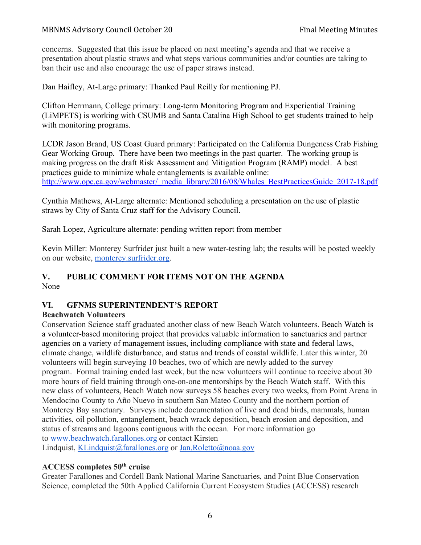concerns. Suggested that this issue be placed on next meeting's agenda and that we receive a presentation about plastic straws and what steps various communities and/or counties are taking to ban their use and also encourage the use of paper straws instead.

Dan Haifley, At-Large primary: Thanked Paul Reilly for mentioning PJ.

Clifton Herrmann, College primary: Long-term Monitoring Program and Experiential Training (LiMPETS) is working with CSUMB and Santa Catalina High School to get students trained to help with monitoring programs.

LCDR Jason Brand, US Coast Guard primary: Participated on the California Dungeness Crab Fishing Gear Working Group. There have been two meetings in the past quarter. The working group is making progress on the draft Risk Assessment and Mitigation Program (RAMP) model. A best practices guide to minimize whale entanglements is available online: http://www.opc.ca.gov/webmaster/\_media\_library/2016/08/Whales\_BestPracticesGuide\_2017-18.pdf

Cynthia Mathews, At-Large alternate: Mentioned scheduling a presentation on the use of plastic straws by City of Santa Cruz staff for the Advisory Council.

Sarah Lopez, Agriculture alternate: pending written report from member

Kevin Miller: Monterey Surfrider just built a new water-testing lab; the results will be posted weekly on our website, monterey.surfrider.org.

#### **V. PUBLIC COMMENT FOR ITEMS NOT ON THE AGENDA** None

## **VI. GFNMS SUPERINTENDENT'S REPORT**

## **Beachwatch Volunteers**

Conservation Science staff graduated another class of new Beach Watch volunteers. Beach Watch is a volunteer-based monitoring project that provides valuable information to sanctuaries and partner agencies on a variety of management issues, including compliance with state and federal laws, climate change, wildlife disturbance, and status and trends of coastal wildlife. Later this winter, 20 volunteers will begin surveying 10 beaches, two of which are newly added to the survey program. Formal training ended last week, but the new volunteers will continue to receive about 30 more hours of field training through one-on-one mentorships by the Beach Watch staff. With this new class of volunteers, Beach Watch now surveys 58 beaches every two weeks, from Point Arena in Mendocino County to Año Nuevo in southern San Mateo County and the northern portion of Monterey Bay sanctuary. Surveys include documentation of live and dead birds, mammals, human activities, oil pollution, entanglement, beach wrack deposition, beach erosion and deposition, and status of streams and lagoons contiguous with the ocean. For more information go to www.beachwatch.farallones.org or contact Kirsten Lindquist, KLindquist@farallones.org or Jan.Roletto@noaa.gov

# **ACCESS completes 50th cruise**

Greater Farallones and Cordell Bank National Marine Sanctuaries, and Point Blue Conservation Science, completed the 50th Applied California Current Ecosystem Studies (ACCESS) research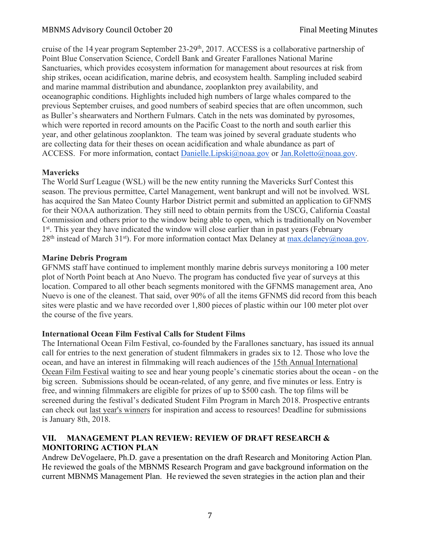cruise of the 14 year program September 23-29<sup>th</sup>, 2017. ACCESS is a collaborative partnership of Point Blue Conservation Science, Cordell Bank and Greater Farallones National Marine Sanctuaries, which provides ecosystem information for management about resources at risk from ship strikes, ocean acidification, marine debris, and ecosystem health. Sampling included seabird and marine mammal distribution and abundance, zooplankton prey availability, and oceanographic conditions. Highlights included high numbers of large whales compared to the previous September cruises, and good numbers of seabird species that are often uncommon, such as Buller's shearwaters and Northern Fulmars. Catch in the nets was dominated by pyrosomes, which were reported in record amounts on the Pacific Coast to the north and south earlier this year, and other gelatinous zooplankton. The team was joined by several graduate students who are collecting data for their theses on ocean acidification and whale abundance as part of ACCESS. For more information, contact Danielle.Lipski@noaa.gov or Jan.Roletto@noaa.gov.

## **Mavericks**

The World Surf League (WSL) will be the new entity running the Mavericks Surf Contest this season. The previous permittee, Cartel Management, went bankrupt and will not be involved. WSL has acquired the San Mateo County Harbor District permit and submitted an application to GFNMS for their NOAA authorization. They still need to obtain permits from the USCG, California Coastal Commission and others prior to the window being able to open, which is traditionally on November 1<sup>st</sup>. This year they have indicated the window will close earlier than in past years (February  $28<sup>th</sup>$  instead of March 31<sup>st</sup>). For more information contact Max Delaney at max.delaney@noaa.gov.

# **Marine Debris Program**

GFNMS staff have continued to implement monthly marine debris surveys monitoring a 100 meter plot of North Point beach at Ano Nuevo. The program has conducted five year of surveys at this location. Compared to all other beach segments monitored with the GFNMS management area, Ano Nuevo is one of the cleanest. That said, over 90% of all the items GFNMS did record from this beach sites were plastic and we have recorded over 1,800 pieces of plastic within our 100 meter plot over the course of the five years.

## **International Ocean Film Festival Calls for Student Films**

The International Ocean Film Festival, co-founded by the Farallones sanctuary, has issued its annual call for entries to the next generation of student filmmakers in grades six to 12. Those who love the ocean, and have an interest in filmmaking will reach audiences of the 15th Annual International Ocean Film Festival waiting to see and hear young people's cinematic stories about the ocean - on the big screen. Submissions should be ocean-related, of any genre, and five minutes or less. Entry is free, and winning filmmakers are eligible for prizes of up to \$500 cash. The top films will be screened during the festival's dedicated Student Film Program in March 2018. Prospective entrants can check out last year's winners for inspiration and access to resources! Deadline for submissions is January 8th, 2018.

## **VII. MANAGEMENT PLAN REVIEW: REVIEW OF DRAFT RESEARCH & MONITORING ACTION PLAN**

Andrew DeVogelaere, Ph.D. gave a presentation on the draft Research and Monitoring Action Plan. He reviewed the goals of the MBNMS Research Program and gave background information on the current MBNMS Management Plan. He reviewed the seven strategies in the action plan and their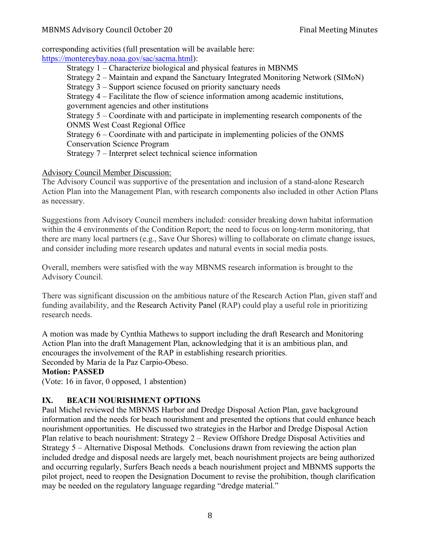corresponding activities (full presentation will be available here:

https://montereybay.noaa.gov/sac/sacma.html):

Strategy 1 – Characterize biological and physical features in MBNMS Strategy 2 – Maintain and expand the Sanctuary Integrated Monitoring Network (SIMoN) Strategy 3 – Support science focused on priority sanctuary needs Strategy 4 – Facilitate the flow of science information among academic institutions, government agencies and other institutions Strategy 5 – Coordinate with and participate in implementing research components of the ONMS West Coast Regional Office Strategy 6 – Coordinate with and participate in implementing policies of the ONMS Conservation Science Program Strategy 7 – Interpret select technical science information

# Advisory Council Member Discussion:

The Advisory Council was supportive of the presentation and inclusion of a stand-alone Research Action Plan into the Management Plan, with research components also included in other Action Plans as necessary.

Suggestions from Advisory Council members included: consider breaking down habitat information within the 4 environments of the Condition Report; the need to focus on long-term monitoring, that there are many local partners (e.g., Save Our Shores) willing to collaborate on climate change issues, and consider including more research updates and natural events in social media posts.

Overall, members were satisfied with the way MBNMS research information is brought to the Advisory Council.

There was significant discussion on the ambitious nature of the Research Action Plan, given staff and funding availability, and the Research Activity Panel (RAP) could play a useful role in prioritizing research needs.

A motion was made by Cynthia Mathews to support including the draft Research and Monitoring Action Plan into the draft Management Plan, acknowledging that it is an ambitious plan, and encourages the involvement of the RAP in establishing research priorities. Seconded by Maria de la Paz Carpio-Obeso.

## **Motion: PASSED**

(Vote: 16 in favor, 0 opposed, 1 abstention)

# **IX. BEACH NOURISHMENT OPTIONS**

Paul Michel reviewed the MBNMS Harbor and Dredge Disposal Action Plan, gave background information and the needs for beach nourishment and presented the options that could enhance beach nourishment opportunities. He discussed two strategies in the Harbor and Dredge Disposal Action Plan relative to beach nourishment: Strategy 2 – Review Offshore Dredge Disposal Activities and Strategy 5 – Alternative Disposal Methods. Conclusions drawn from reviewing the action plan included dredge and disposal needs are largely met, beach nourishment projects are being authorized and occurring regularly, Surfers Beach needs a beach nourishment project and MBNMS supports the pilot project, need to reopen the Designation Document to revise the prohibition, though clarification may be needed on the regulatory language regarding "dredge material."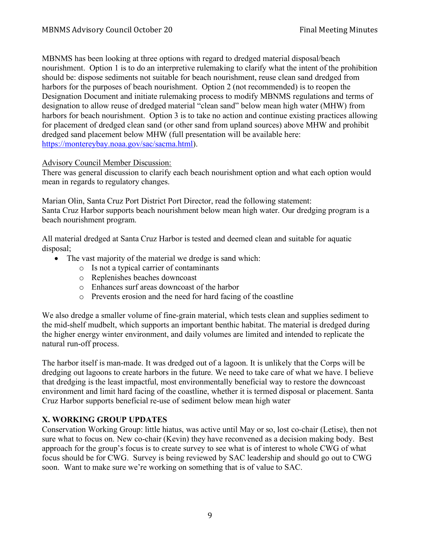MBNMS has been looking at three options with regard to dredged material disposal/beach nourishment. Option 1 is to do an interpretive rulemaking to clarify what the intent of the prohibition should be: dispose sediments not suitable for beach nourishment, reuse clean sand dredged from harbors for the purposes of beach nourishment.Option 2 (not recommended) is to reopen the Designation Document and initiate rulemaking process to modify MBNMS regulations and terms of designation to allow reuse of dredged material "clean sand" below mean high water (MHW) from harbors for beach nourishment. Option 3 is to take no action and continue existing practices allowing for placement of dredged clean sand (or other sand from upland sources) above MHW and prohibit dredged sand placement below MHW (full presentation will be available here: https://montereybay.noaa.gov/sac/sacma.html).

## Advisory Council Member Discussion:

There was general discussion to clarify each beach nourishment option and what each option would mean in regards to regulatory changes.

Marian Olin, Santa Cruz Port District Port Director, read the following statement: Santa Cruz Harbor supports beach nourishment below mean high water. Our dredging program is a beach nourishment program.

All material dredged at Santa Cruz Harbor is tested and deemed clean and suitable for aquatic disposal;

- The vast majority of the material we dredge is sand which:
	- o Is not a typical carrier of contaminants
	- o Replenishes beaches downcoast
	- o Enhances surf areas downcoast of the harbor
	- o Prevents erosion and the need for hard facing of the coastline

We also dredge a smaller volume of fine-grain material, which tests clean and supplies sediment to the mid-shelf mudbelt, which supports an important benthic habitat. The material is dredged during the higher energy winter environment, and daily volumes are limited and intended to replicate the natural run-off process.

The harbor itself is man-made. It was dredged out of a lagoon. It is unlikely that the Corps will be dredging out lagoons to create harbors in the future. We need to take care of what we have. I believe that dredging is the least impactful, most environmentally beneficial way to restore the downcoast environment and limit hard facing of the coastline, whether it is termed disposal or placement. Santa Cruz Harbor supports beneficial re-use of sediment below mean high water

# **X. WORKING GROUP UPDATES**

Conservation Working Group: little hiatus, was active until May or so, lost co-chair (Letise), then not sure what to focus on. New co-chair (Kevin) they have reconvened as a decision making body. Best approach for the group's focus is to create survey to see what is of interest to whole CWG of what focus should be for CWG. Survey is being reviewed by SAC leadership and should go out to CWG soon. Want to make sure we're working on something that is of value to SAC.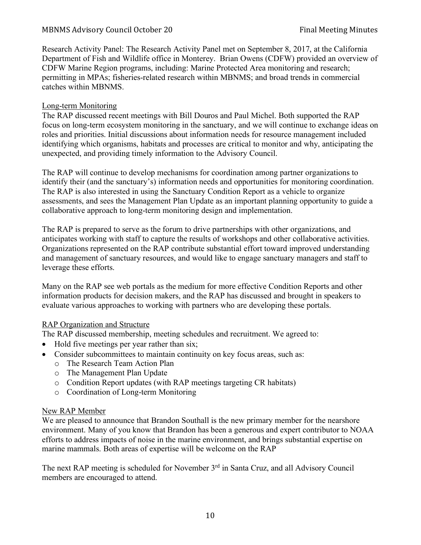Research Activity Panel: The Research Activity Panel met on September 8, 2017, at the California Department of Fish and Wildlife office in Monterey. Brian Owens (CDFW) provided an overview of CDFW Marine Region programs, including: Marine Protected Area monitoring and research; permitting in MPAs; fisheries-related research within MBNMS; and broad trends in commercial catches within MBNMS.

## Long-term Monitoring

The RAP discussed recent meetings with Bill Douros and Paul Michel. Both supported the RAP focus on long-term ecosystem monitoring in the sanctuary, and we will continue to exchange ideas on roles and priorities. Initial discussions about information needs for resource management included identifying which organisms, habitats and processes are critical to monitor and why, anticipating the unexpected, and providing timely information to the Advisory Council.

The RAP will continue to develop mechanisms for coordination among partner organizations to identify their (and the sanctuary's) information needs and opportunities for monitoring coordination. The RAP is also interested in using the Sanctuary Condition Report as a vehicle to organize assessments, and sees the Management Plan Update as an important planning opportunity to guide a collaborative approach to long-term monitoring design and implementation.

The RAP is prepared to serve as the forum to drive partnerships with other organizations, and anticipates working with staff to capture the results of workshops and other collaborative activities. Organizations represented on the RAP contribute substantial effort toward improved understanding and management of sanctuary resources, and would like to engage sanctuary managers and staff to leverage these efforts.

Many on the RAP see web portals as the medium for more effective Condition Reports and other information products for decision makers, and the RAP has discussed and brought in speakers to evaluate various approaches to working with partners who are developing these portals.

## RAP Organization and Structure

The RAP discussed membership, meeting schedules and recruitment. We agreed to:

- Hold five meetings per year rather than six;
- Consider subcommittees to maintain continuity on key focus areas, such as:
	- o The Research Team Action Plan
	- o The Management Plan Update
	- o Condition Report updates (with RAP meetings targeting CR habitats)
	- o Coordination of Long-term Monitoring

## New RAP Member

We are pleased to announce that Brandon Southall is the new primary member for the nearshore environment. Many of you know that Brandon has been a generous and expert contributor to NOAA efforts to address impacts of noise in the marine environment, and brings substantial expertise on marine mammals. Both areas of expertise will be welcome on the RAP

The next RAP meeting is scheduled for November 3<sup>rd</sup> in Santa Cruz, and all Advisory Council members are encouraged to attend.